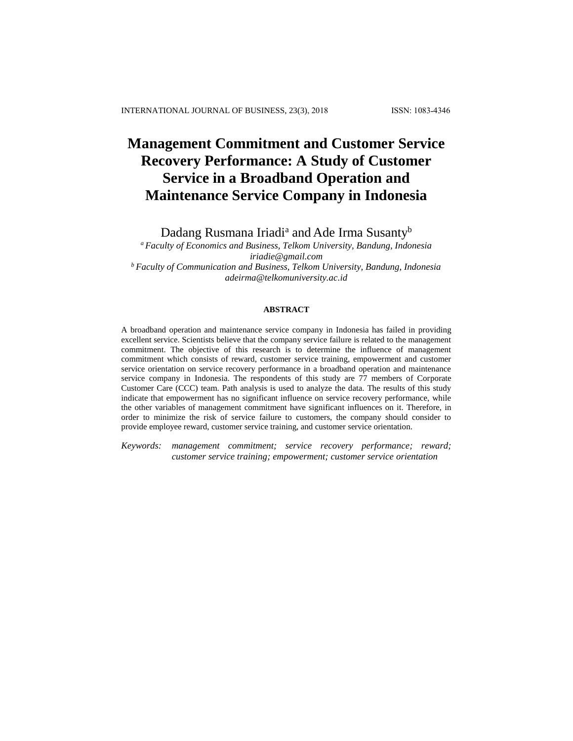# **Management Commitment and Customer Service Recovery Performance: A Study of Customer Service in a Broadband Operation and Maintenance Service Company in Indonesia**

Dadang Rusmana Iriadi<sup>a</sup> and Ade Irma Susanty<sup>b</sup>

*<sup>a</sup>Faculty of Economics and Business, Telkom University, Bandung, Indonesia iriadie@gmail.com <sup>b</sup>Faculty of Communication and Business, Telkom University, Bandung, Indonesia [adeirma@telkomuniversity.ac.id](mailto:adeirma@telkomuniversity.ac.id)*

## **ABSTRACT**

A broadband operation and maintenance service company in Indonesia has failed in providing excellent service. Scientists believe that the company service failure is related to the management commitment. The objective of this research is to determine the influence of management commitment which consists of reward, customer service training, empowerment and customer service orientation on service recovery performance in a broadband operation and maintenance service company in Indonesia. The respondents of this study are 77 members of Corporate Customer Care (CCC) team. Path analysis is used to analyze the data. The results of this study indicate that empowerment has no significant influence on service recovery performance, while the other variables of management commitment have significant influences on it. Therefore, in order to minimize the risk of service failure to customers, the company should consider to provide employee reward, customer service training, and customer service orientation.

*Keywords: management commitment; service recovery performance; reward; customer service training; empowerment; customer service orientation*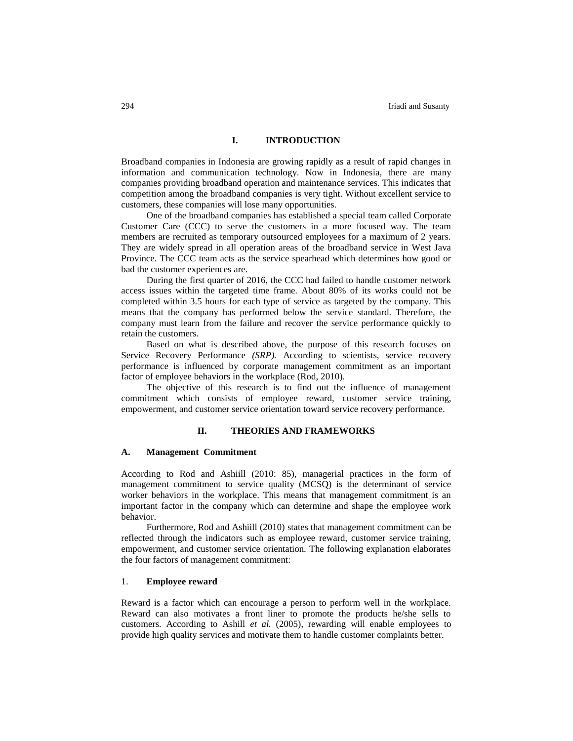# **I. INTRODUCTION**

Broadband companies in Indonesia are growing rapidly as a result of rapid changes in information and communication technology. Now in Indonesia, there are many companies providing broadband operation and maintenance services. This indicates that competition among the broadband companies is very tight. Without excellent service to customers, these companies will lose many opportunities.

One of the broadband companies has established a special team called Corporate Customer Care (CCC) to serve the customers in a more focused way. The team members are recruited as temporary outsourced employees for a maximum of 2 years. They are widely spread in all operation areas of the broadband service in West Java Province. The CCC team acts as the service spearhead which determines how good or bad the customer experiences are.

During the first quarter of 2016, the CCC had failed to handle customer network access issues within the targeted time frame. About 80% of its works could not be completed within 3.5 hours for each type of service as targeted by the company. This means that the company has performed below the service standard. Therefore, the company must learn from the failure and recover the service performance quickly to retain the customers.

Based on what is described above, the purpose of this research focuses on Service Recovery Performance *(SRP).* According to scientists, service recovery performance is influenced by corporate management commitment as an important factor of employee behaviors in the workplace (Rod, 2010).

The objective of this research is to find out the influence of management commitment which consists of employee reward, customer service training, empowerment, and customer service orientation toward service recovery performance.

### **II. THEORIES AND FRAMEWORKS**

## **A. Management Commitment**

According to Rod and Ashiill (2010: 85), managerial practices in the form of management commitment to service quality (MCSQ) is the determinant of service worker behaviors in the workplace. This means that management commitment is an important factor in the company which can determine and shape the employee work behavior.

Furthermore, Rod and Ashiill (2010) states that management commitment can be reflected through the indicators such as employee reward, customer service training, empowerment, and customer service orientation. The following explanation elaborates the four factors of management commitment:

# 1. **Employee reward**

Reward is a factor which can encourage a person to perform well in the workplace. Reward can also motivates a front liner to promote the products he/she sells to customers. According to Ashill *et al.* (2005), rewarding will enable employees to provide high quality services and motivate them to handle customer complaints better.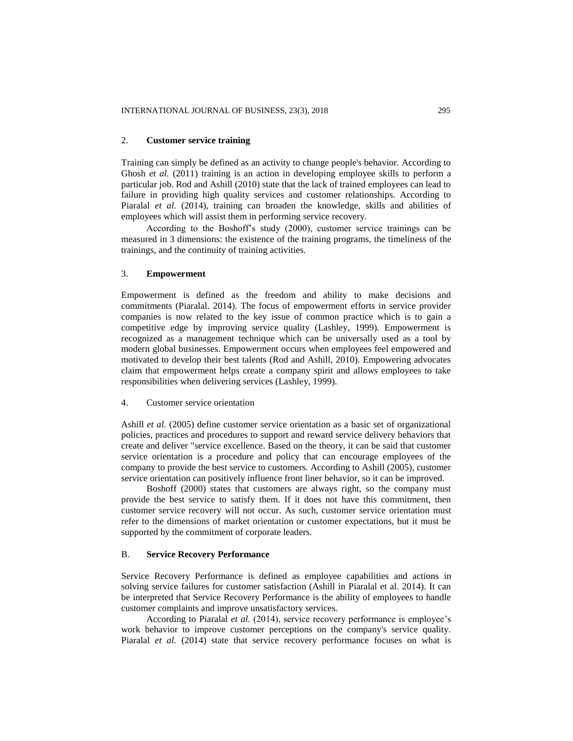## 2. **Customer service training**

Training can simply be defined as an activity to change people's behavior. According to Ghosh *et al.* (2011) training is an action in developing employee skills to perform a particular job. Rod and Ashill (2010) state that the lack of trained employees can lead to failure in providing high quality services and customer relationships. According to Piaralal et al. (2014), training can broaden the knowledge, skills and abilities of employees which will assist them in performing service recovery.

According to the Boshoff's study (2000), customer service trainings can be measured in 3 dimensions: the existence of the training programs, the timeliness of the trainings, and the continuity of training activities.

## 3. **Empowerment**

Empowerment is defined as the freedom and ability to make decisions and commitments (Piaralal. 2014). The focus of empowerment efforts in service provider companies is now related to the key issue of common practice which is to gain a competitive edge by improving service quality (Lashley, 1999). Empowerment is recognized as a management technique which can be universally used as a tool by modern global businesses. Empowerment occurs when employees feel empowered and motivated to develop their best talents (Rod and Ashill, 2010). Empowering advocates claim that empowerment helps create a company spirit and allows employees to take responsibilities when delivering services (Lashley, 1999).

## 4. Customer service orientation

Ashill *et al.* (2005) define customer service orientation as a basic set of organizational policies, practices and procedures to support and reward service delivery behaviors that create and deliver "service excellence. Based on the theory, it can be said that customer service orientation is a procedure and policy that can encourage employees of the company to provide the best service to customers. According to Ashill (2005), customer service orientation can positively influence front liner behavior, so it can be improved.

Boshoff (2000) states that customers are always right, so the company must provide the best service to satisfy them. If it does not have this commitment, then customer service recovery will not occur. As such, customer service orientation must refer to the dimensions of market orientation or customer expectations, but it must be supported by the commitment of corporate leaders.

## B. **Service Recovery Performance**

Service Recovery Performance is defined as employee capabilities and actions in solving service failures for customer satisfaction (Ashill in Piaralal et al. 2014). It can be interpreted that Service Recovery Performance is the ability of employees to handle customer complaints and improve unsatisfactory services.

According to Piaralal *et al.* (2014), service recovery performance is employee's work behavior to improve customer perceptions on the company's service quality. Piaralal *et al.* (2014) state that service recovery performance focuses on what is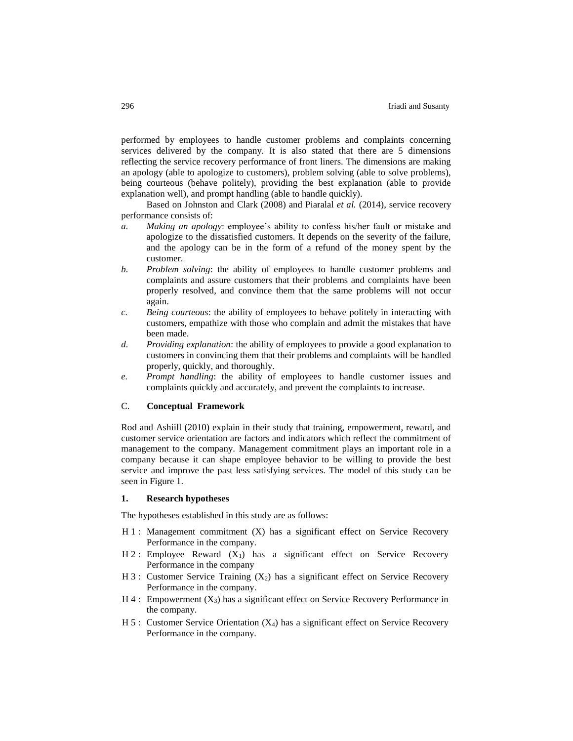performed by employees to handle customer problems and complaints concerning services delivered by the company. It is also stated that there are 5 dimensions reflecting the service recovery performance of front liners. The dimensions are making an apology (able to apologize to customers), problem solving (able to solve problems), being courteous (behave politely), providing the best explanation (able to provide explanation well), and prompt handling (able to handle quickly).

Based on Johnston and Clark (2008) and Piaralal *et al.* (2014), service recovery performance consists of:

- *a. Making an apology*: employee's ability to confess his/her fault or mistake and apologize to the dissatisfied customers. It depends on the severity of the failure, and the apology can be in the form of a refund of the money spent by the customer.
- *b. Problem solving*: the ability of employees to handle customer problems and complaints and assure customers that their problems and complaints have been properly resolved, and convince them that the same problems will not occur again.
- *c. Being courteous*: the ability of employees to behave politely in interacting with customers, empathize with those who complain and admit the mistakes that have been made.
- *d. Providing explanation*: the ability of employees to provide a good explanation to customers in convincing them that their problems and complaints will be handled properly, quickly, and thoroughly.
- *e. Prompt handling*: the ability of employees to handle customer issues and complaints quickly and accurately, and prevent the complaints to increase.

# C. **Conceptual Framework**

Rod and Ashiill (2010) explain in their study that training, empowerment, reward, and customer service orientation are factors and indicators which reflect the commitment of management to the company. Management commitment plays an important role in a company because it can shape employee behavior to be willing to provide the best service and improve the past less satisfying services. The model of this study can be seen in Figure 1.

## **1. Research hypotheses**

The hypotheses established in this study are as follows:

- H 1 : Management commitment (X) has a significant effect on Service Recovery Performance in the company.
- $H 2$ : Employee Reward  $(X_1)$  has a significant effect on Service Recovery Performance in the company
- H 3 : Customer Service Training  $(X_2)$  has a significant effect on Service Recovery Performance in the company.
- $H_4$ : Empowerment  $(X_3)$  has a significant effect on Service Recovery Performance in the company.
- $H 5$ : Customer Service Orientation  $(X_4)$  has a significant effect on Service Recovery Performance in the company.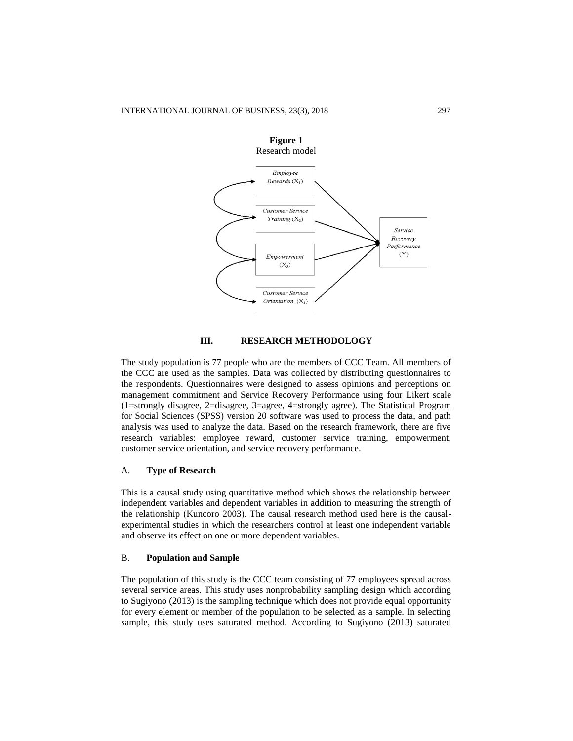

## **III. RESEARCH METHODOLOGY**

The study population is 77 people who are the members of CCC Team. All members of the CCC are used as the samples. Data was collected by distributing questionnaires to the respondents. Questionnaires were designed to assess opinions and perceptions on management commitment and Service Recovery Performance using four Likert scale (1=strongly disagree, 2=disagree, 3=agree, 4=strongly agree). The Statistical Program for Social Sciences (SPSS) version 20 software was used to process the data, and path analysis was used to analyze the data. Based on the research framework, there are five research variables: employee reward, customer service training, empowerment, customer service orientation, and service recovery performance.

## A. **Type of Research**

This is a causal study using quantitative method which shows the relationship between independent variables and dependent variables in addition to measuring the strength of the relationship (Kuncoro 2003). The causal research method used here is the causalexperimental studies in which the researchers control at least one independent variable and observe its effect on one or more dependent variables.

# B. **Population and Sample**

The population of this study is the CCC team consisting of 77 employees spread across several service areas. This study uses nonprobability sampling design which according to Sugiyono (2013) is the sampling technique which does not provide equal opportunity for every element or member of the population to be selected as a sample. In selecting sample, this study uses saturated method. According to Sugiyono (2013) saturated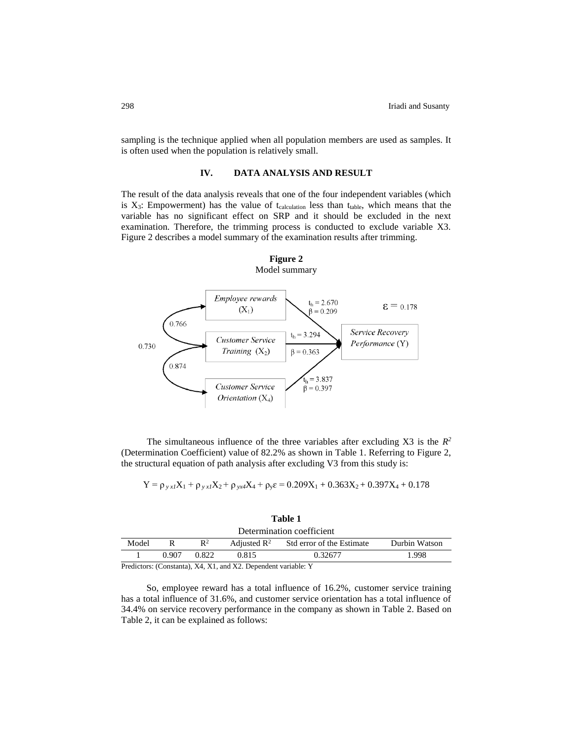sampling is the technique applied when all population members are used as samples. It is often used when the population is relatively small.

## **IV. DATA ANALYSIS AND RESULT**

The result of the data analysis reveals that one of the four independent variables (which is  $X_3$ : Empowerment) has the value of t<sub>calculation</sub> less than  $t_{table}$ , which means that the variable has no significant effect on SRP and it should be excluded in the next examination. Therefore, the trimming process is conducted to exclude variable X3. Figure 2 describes a model summary of the examination results after trimming.

**Figure 2**



The simultaneous influence of the three variables after excluding  $X3$  is the  $R^2$ (Determination Coefficient) value of 82.2% as shown in Table 1. Referring to Figure 2, the structural equation of path analysis after excluding V3 from this study is:

$$
Y = \rho_{y}{}_{x1}X_1 + \rho_{y}{}_{x1}X_2 + \rho_{yx}{}_{4}X_4 + \rho_{y}\epsilon = 0.209X_1 + 0.363X_2 + 0.397X_4 + 0.178
$$

| Table 1                   |  |  |  |  |  |  |  |
|---------------------------|--|--|--|--|--|--|--|
| Determination coefficient |  |  |  |  |  |  |  |

| <u>Decemmenton</u> coemercin |        |                            |                         |                           |               |  |  |  |  |
|------------------------------|--------|----------------------------|-------------------------|---------------------------|---------------|--|--|--|--|
| Model                        |        | $\mathbf{D}^2$             | Adjusted $\mathbb{R}^2$ | Std error of the Estimate | Durbin Watson |  |  |  |  |
|                              | 0.907  | 0.822                      | 9.815                   | 0.32677                   | .998          |  |  |  |  |
| $\mathbf{r}$ $\mathbf{r}$ .  | $\sim$ | $\cdots$ $\cdots$ $\cdots$ | $1.372 \pm 2.5$         |                           |               |  |  |  |  |

Predictors: (Constanta), X4, X1, and X2. Dependent variable: Y

So, employee reward has a total influence of 16.2%, customer service training has a total influence of 31.6%, and customer service orientation has a total influence of 34.4% on service recovery performance in the company as shown in Table 2. Based on Table 2, it can be explained as follows: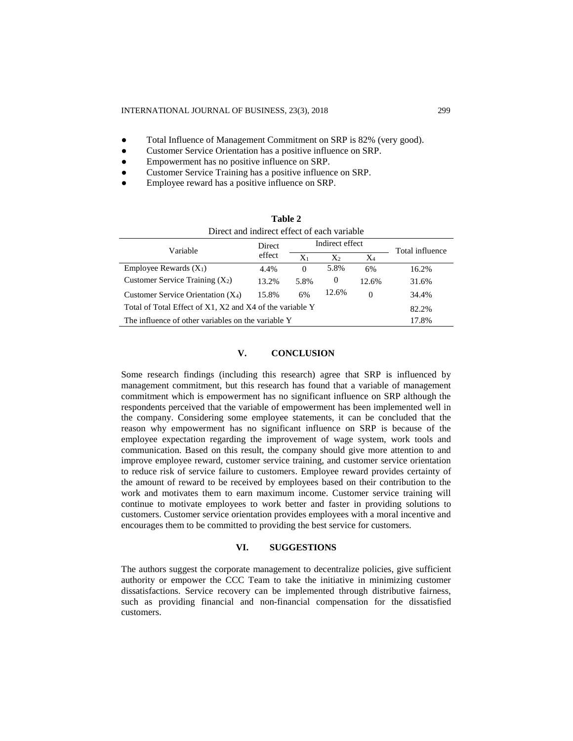- Total Influence of Management Commitment on SRP is 82% (very good).
- Customer Service Orientation has a positive influence on SRP.
- Empowerment has no positive influence on SRP.
- Customer Service Training has a positive influence on SRP.
- Employee reward has a positive influence on SRP.

| Table 2                                                  |                  |                 |                |          |                 |  |  |  |  |  |
|----------------------------------------------------------|------------------|-----------------|----------------|----------|-----------------|--|--|--|--|--|
| Direct and indirect effect of each variable              |                  |                 |                |          |                 |  |  |  |  |  |
| Variable                                                 | Direct<br>effect | Indirect effect |                |          | Total influence |  |  |  |  |  |
|                                                          |                  | $X_1$           | $X_2$          | $X_4$    |                 |  |  |  |  |  |
| Employee Rewards $(X_1)$                                 | 4.4%             | $\Omega$        | 5.8%           | 6%       | 16.2%           |  |  |  |  |  |
| Customer Service Training $(X_2)$                        | 13.2%            | 5.8%            | $\overline{0}$ | 12.6%    | 31.6%           |  |  |  |  |  |
| Customer Service Orientation $(X_4)$                     | 15.8%            | 6%              | 12.6%          | $\Omega$ | 34.4%           |  |  |  |  |  |
| Total of Total Effect of X1, X2 and X4 of the variable Y | 82.2%            |                 |                |          |                 |  |  |  |  |  |
| The influence of other variables on the variable Y       | 17.8%            |                 |                |          |                 |  |  |  |  |  |

## **V. CONCLUSION**

Some research findings (including this research) agree that SRP is influenced by management commitment, but this research has found that a variable of management commitment which is empowerment has no significant influence on SRP although the respondents perceived that the variable of empowerment has been implemented well in the company. Considering some employee statements, it can be concluded that the reason why empowerment has no significant influence on SRP is because of the employee expectation regarding the improvement of wage system, work tools and communication. Based on this result, the company should give more attention to and improve employee reward, customer service training, and customer service orientation to reduce risk of service failure to customers. Employee reward provides certainty of the amount of reward to be received by employees based on their contribution to the work and motivates them to earn maximum income. Customer service training will continue to motivate employees to work better and faster in providing solutions to customers. Customer service orientation provides employees with a moral incentive and encourages them to be committed to providing the best service for customers.

# **VI. SUGGESTIONS**

The authors suggest the corporate management to decentralize policies, give sufficient authority or empower the CCC Team to take the initiative in minimizing customer dissatisfactions. Service recovery can be implemented through distributive fairness, such as providing financial and non-financial compensation for the dissatisfied customers.